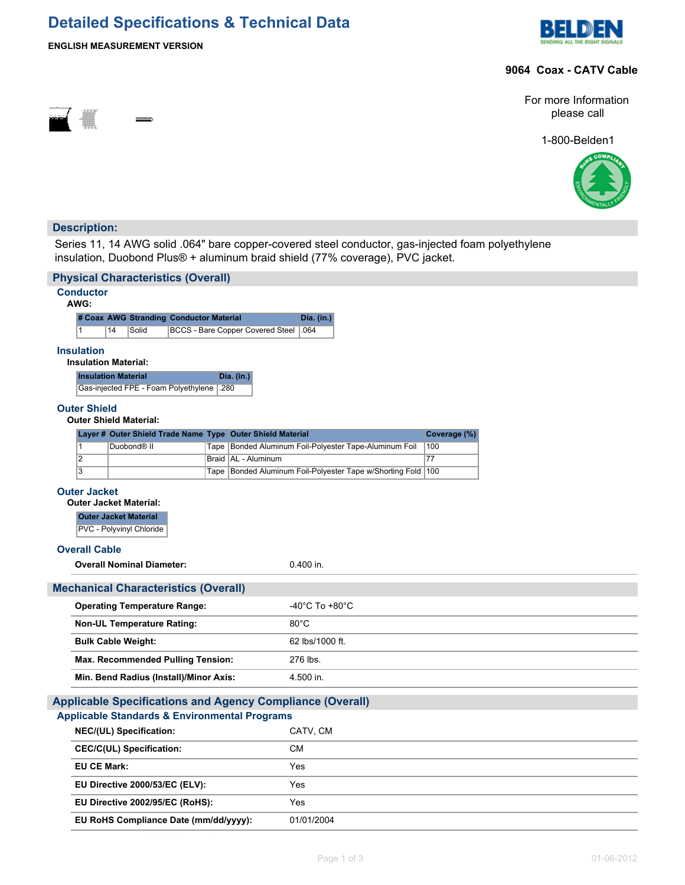# **Detailed Specifications & Technical Data**





### **9064 Coax - CATV Cable**



For more Information please call

1-800-Belden1



## **Description:**

Series 11, 14 AWG solid .064" bare copper-covered steel conductor, gas-injected foam polyethylene insulation, Duobond Plus® + aluminum braid shield (77% coverage), PVC jacket.

|                                                  | <b>Physical Characteristics (Overall)</b>              |                                             |  |      |                                                            |                                                                  |  |              |                                                      |  |  |  |  |  |  |  |
|--------------------------------------------------|--------------------------------------------------------|---------------------------------------------|--|------|------------------------------------------------------------|------------------------------------------------------------------|--|--------------|------------------------------------------------------|--|--|--|--|--|--|--|
|                                                  | <b>Conductor</b><br>AWG:                               |                                             |  |      |                                                            |                                                                  |  |              |                                                      |  |  |  |  |  |  |  |
|                                                  | # Coax AWG Stranding Conductor Material                |                                             |  |      | Dia. (in.)                                                 |                                                                  |  |              |                                                      |  |  |  |  |  |  |  |
|                                                  | 14<br><b>BCCS - Bare Copper Covered Steel</b><br>Solid |                                             |  |      | .064                                                       |                                                                  |  |              |                                                      |  |  |  |  |  |  |  |
| <b>Insulation</b><br><b>Insulation Material:</b> |                                                        |                                             |  |      |                                                            |                                                                  |  |              |                                                      |  |  |  |  |  |  |  |
|                                                  | <b>Insulation Material</b>                             |                                             |  |      | Dia. (in.)                                                 |                                                                  |  |              |                                                      |  |  |  |  |  |  |  |
|                                                  |                                                        | Gas-injected FPE - Foam Polyethylene        |  | .280 |                                                            |                                                                  |  |              |                                                      |  |  |  |  |  |  |  |
|                                                  | <b>Outer Shield</b><br><b>Outer Shield Material:</b>   |                                             |  |      |                                                            |                                                                  |  |              |                                                      |  |  |  |  |  |  |  |
|                                                  |                                                        |                                             |  |      | Layer # Outer Shield Trade Name Type Outer Shield Material |                                                                  |  | Coverage (%) |                                                      |  |  |  |  |  |  |  |
|                                                  | 1<br>$\overline{2}$                                    | Duobond <sup>®</sup> II                     |  |      | Braid   AL - Aluminum                                      | Tape Bonded Aluminum Foil-Polyester Tape-Aluminum Foil           |  | 100<br>77    |                                                      |  |  |  |  |  |  |  |
|                                                  | $\overline{3}$                                         |                                             |  |      |                                                            | Tape   Bonded Aluminum Foil-Polyester Tape w/Shorting Fold   100 |  |              |                                                      |  |  |  |  |  |  |  |
|                                                  |                                                        |                                             |  |      |                                                            |                                                                  |  |              |                                                      |  |  |  |  |  |  |  |
|                                                  |                                                        |                                             |  |      |                                                            |                                                                  |  |              | <b>Outer Jacket</b><br><b>Outer Jacket Material:</b> |  |  |  |  |  |  |  |
|                                                  | <b>Outer Jacket Material</b>                           |                                             |  |      |                                                            |                                                                  |  |              |                                                      |  |  |  |  |  |  |  |
|                                                  |                                                        |                                             |  |      |                                                            |                                                                  |  |              |                                                      |  |  |  |  |  |  |  |
|                                                  |                                                        | PVC - Polyvinyl Chloride                    |  |      |                                                            |                                                                  |  |              |                                                      |  |  |  |  |  |  |  |
|                                                  | <b>Overall Cable</b>                                   |                                             |  |      |                                                            |                                                                  |  |              |                                                      |  |  |  |  |  |  |  |
|                                                  |                                                        | <b>Overall Nominal Diameter:</b>            |  |      |                                                            | 0.400 in.                                                        |  |              |                                                      |  |  |  |  |  |  |  |
|                                                  |                                                        | <b>Mechanical Characteristics (Overall)</b> |  |      |                                                            |                                                                  |  |              |                                                      |  |  |  |  |  |  |  |
|                                                  |                                                        | <b>Operating Temperature Range:</b>         |  |      |                                                            | -40°C To +80°C                                                   |  |              |                                                      |  |  |  |  |  |  |  |
|                                                  |                                                        | <b>Non-UL Temperature Rating:</b>           |  |      |                                                            | $80^{\circ}$ C                                                   |  |              |                                                      |  |  |  |  |  |  |  |
|                                                  | <b>Bulk Cable Weight:</b>                              |                                             |  |      |                                                            | 62 lbs/1000 ft.                                                  |  |              |                                                      |  |  |  |  |  |  |  |
|                                                  |                                                        | Max. Recommended Pulling Tension:           |  |      |                                                            | 276 lbs.                                                         |  |              |                                                      |  |  |  |  |  |  |  |
|                                                  |                                                        | Min. Bend Radius (Install)/Minor Axis:      |  |      |                                                            | 4.500 in.                                                        |  |              |                                                      |  |  |  |  |  |  |  |
|                                                  |                                                        |                                             |  |      |                                                            |                                                                  |  |              |                                                      |  |  |  |  |  |  |  |
|                                                  |                                                        |                                             |  |      | <b>Applicable Standards &amp; Environmental Programs</b>   | <b>Applicable Specifications and Agency Compliance (Overall)</b> |  |              |                                                      |  |  |  |  |  |  |  |
|                                                  |                                                        | NEC/(UL) Specification:                     |  |      |                                                            | CATV, CM                                                         |  |              |                                                      |  |  |  |  |  |  |  |
|                                                  |                                                        | <b>CEC/C(UL) Specification:</b>             |  |      |                                                            | <b>CM</b>                                                        |  |              |                                                      |  |  |  |  |  |  |  |
|                                                  | <b>EU CE Mark:</b>                                     |                                             |  |      |                                                            | Yes                                                              |  |              |                                                      |  |  |  |  |  |  |  |
|                                                  |                                                        | EU Directive 2000/53/EC (ELV):              |  |      |                                                            | Yes                                                              |  |              |                                                      |  |  |  |  |  |  |  |
|                                                  |                                                        | EU Directive 2002/95/EC (RoHS):             |  |      |                                                            | Yes                                                              |  |              |                                                      |  |  |  |  |  |  |  |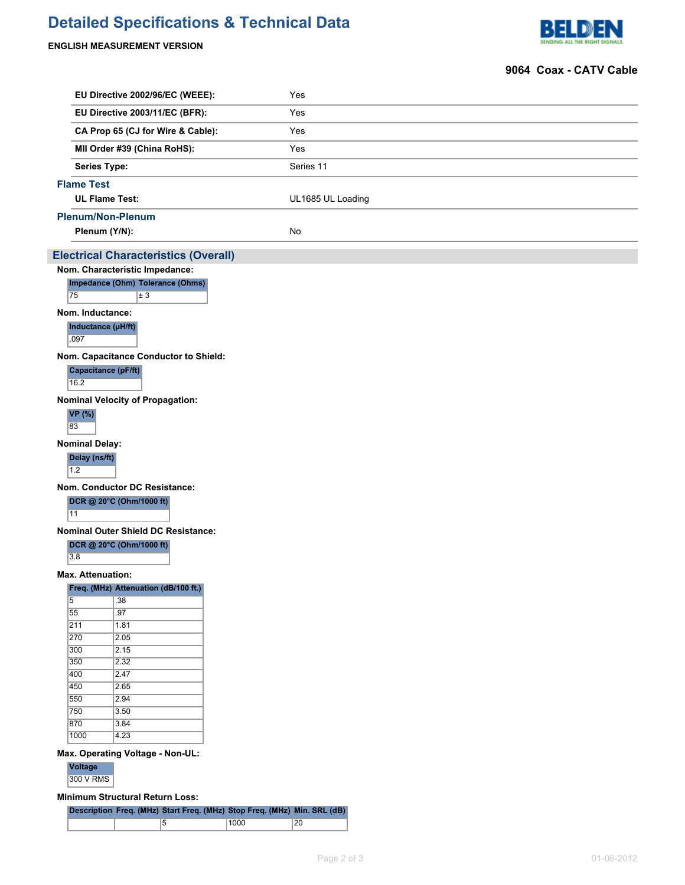# **Detailed Specifications & Technical Data**

### **ENGLISH MEASUREMENT VERSION**



#### **9064 Coax - CATV Cable**

|                                   | EU Directive 2002/96/EC (WEEE):             | Yes                                                                      |
|-----------------------------------|---------------------------------------------|--------------------------------------------------------------------------|
|                                   | EU Directive 2003/11/EC (BFR):              | Yes                                                                      |
|                                   | CA Prop 65 (CJ for Wire & Cable):           | Yes                                                                      |
|                                   |                                             |                                                                          |
|                                   | MII Order #39 (China RoHS):                 | Yes                                                                      |
|                                   | <b>Series Type:</b>                         | Series 11                                                                |
| <b>Flame Test</b>                 |                                             |                                                                          |
|                                   | <b>UL Flame Test:</b>                       | UL1685 UL Loading                                                        |
|                                   | <b>Plenum/Non-Plenum</b>                    |                                                                          |
|                                   | Plenum (Y/N):                               | No                                                                       |
|                                   | <b>Electrical Characteristics (Overall)</b> |                                                                          |
|                                   | Nom. Characteristic Impedance:              |                                                                          |
|                                   | Impedance (Ohm) Tolerance (Ohms)            |                                                                          |
| 75                                | $\overline{\pm 3}$                          |                                                                          |
|                                   | Nom. Inductance:                            |                                                                          |
|                                   | Inductance (µH/ft)                          |                                                                          |
| .097                              |                                             |                                                                          |
|                                   | Nom. Capacitance Conductor to Shield:       |                                                                          |
| 16.2                              | Capacitance (pF/ft)                         |                                                                          |
|                                   |                                             |                                                                          |
|                                   | <b>Nominal Velocity of Propagation:</b>     |                                                                          |
| <b>VP</b> (%)<br>83               |                                             |                                                                          |
|                                   |                                             |                                                                          |
| <b>Nominal Delay:</b>             |                                             |                                                                          |
| Delay (ns/ft)<br>$\overline{1.2}$ |                                             |                                                                          |
|                                   | <b>Nom. Conductor DC Resistance:</b>        |                                                                          |
|                                   | DCR @ 20°C (Ohm/1000 ft)                    |                                                                          |
| 11                                |                                             |                                                                          |
|                                   | Nominal Outer Shield DC Resistance:         |                                                                          |
|                                   | DCR @ 20°C (Ohm/1000 ft)                    |                                                                          |
| 3.8                               |                                             |                                                                          |
|                                   | <b>Max. Attenuation:</b>                    |                                                                          |
|                                   | Freq. (MHz) Attenuation (dB/100 ft.)        |                                                                          |
| 5                                 | .38                                         |                                                                          |
| 55                                | .97                                         |                                                                          |
| $\overline{211}$<br>270           | 1.81<br>2.05                                |                                                                          |
| 300                               | 2.15                                        |                                                                          |
| 350                               | 2.32                                        |                                                                          |
| 400                               | 2.47                                        |                                                                          |
| 450                               | 2.65                                        |                                                                          |
| 550                               | 2.94                                        |                                                                          |
| 750                               | 3.50                                        |                                                                          |
| 870                               | 3.84                                        |                                                                          |
| 1000                              | 4.23                                        |                                                                          |
|                                   | Max. Operating Voltage - Non-UL:            |                                                                          |
| <b>Voltage</b>                    |                                             |                                                                          |
| 300 V RMS                         |                                             |                                                                          |
|                                   |                                             |                                                                          |
|                                   | <b>Minimum Structural Return Loss:</b>      |                                                                          |
|                                   |                                             | Description Freq. (MHz) Start Freq. (MHz) Stop Freq. (MHz) Min. SRL (dB) |

5 1000 20